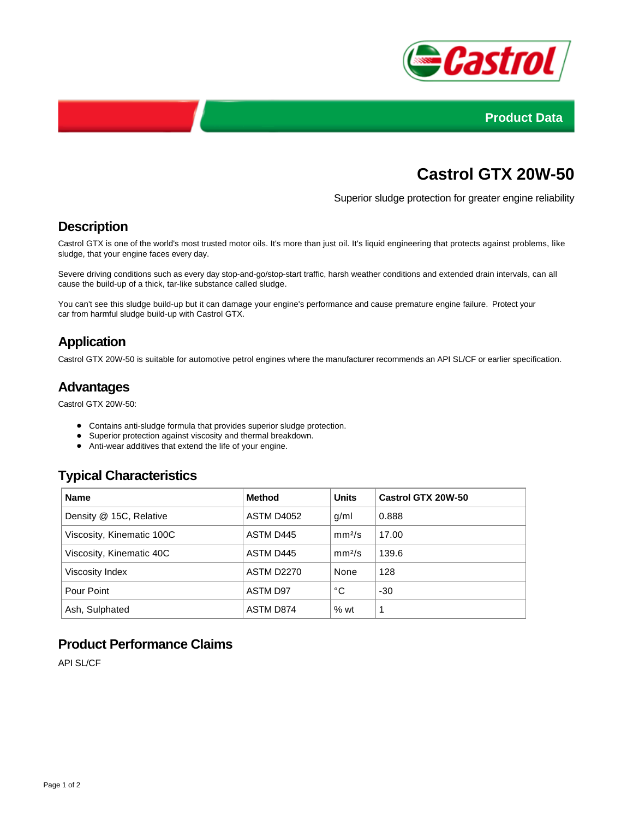



# **Castrol GTX 20W-50**

Superior sludge protection for greater engine reliability

### **Description**

Castrol GTX is one of the world's most trusted motor oils. It's more than just oil. It's liquid engineering that protects against problems, like sludge, that your engine faces every day.

Severe driving conditions such as every day stop-and-go/stop-start traffic, harsh weather conditions and extended drain intervals, can all cause the build-up of a thick, tar-like substance called sludge.

You can't see this sludge build-up but it can damage your engine's performance and cause premature engine failure. Protect your car from harmful sludge build-up with Castrol GTX.

## **Application**

Castrol GTX 20W-50 is suitable for automotive petrol engines where the manufacturer recommends an API SL/CF or earlier specification.

### **Advantages**

Castrol GTX 20W-50:

- Contains anti-sludge formula that provides superior sludge protection.
- Superior protection against viscosity and thermal breakdown.
- Anti-wear additives that extend the life of your engine.

### **Typical Characteristics**

| <b>Name</b>               | <b>Method</b>     | <b>Units</b>       | Castrol GTX 20W-50 |
|---------------------------|-------------------|--------------------|--------------------|
| Density @ 15C, Relative   | ASTM D4052        | g/ml               | 0.888              |
| Viscosity, Kinematic 100C | ASTM D445         | mm <sup>2</sup> /s | 17.00              |
| Viscosity, Kinematic 40C  | ASTM D445         | mm <sup>2</sup> /s | 139.6              |
| Viscosity Index           | <b>ASTM D2270</b> | None               | 128                |
| Pour Point                | ASTM D97          | °C                 | -30                |
| Ash, Sulphated            | ASTM D874         | $%$ wt             | 1                  |

## **Product Performance Claims**

API SL/CF